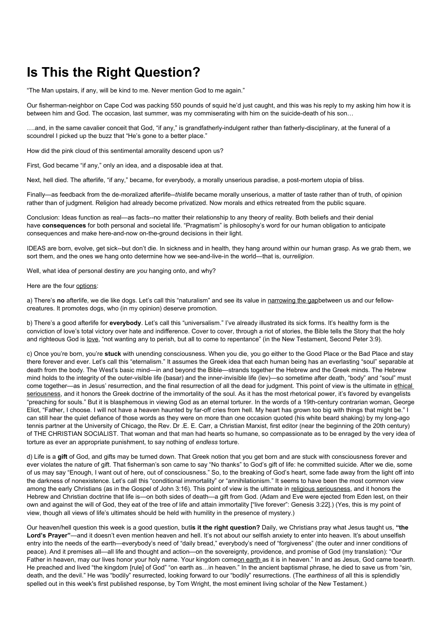## **Is This the Right Question?**

"The Man upstairs, if any, will be kind to me. Never mention God to me again."

Our fisherman-neighbor on Cape Cod was packing 550 pounds of squid he'd just caught, and this was his reply to my asking him how it is between him and God. The occasion, last summer, was my commiserating with him on the suicide-death of his son…

….and, in the same cavalier conceit that God, "if any," is grandfatherly-indulgent rather than fatherly-disciplinary, at the funeral of a scoundrel I picked up the buzz that "He's gone to a better place."

How did the pink cloud of this sentimental amorality descend upon us?

First, God became "if any," only an idea, and a disposable idea at that.

Next, hell died. The afterlife, "if any," became, for everybody, a morally unserious paradise, a post-mortem utopia of bliss.

Finally—as feedback from the de-moralized afterlife--*this*life became morally unserious, a matter of taste rather than of truth, of opinion rather than of judgment. Religion had already become privatized. Now morals and ethics retreated from the public square.

Conclusion: Ideas function as real—as facts--no matter their relationship to any theory of reality. Both beliefs and their denial have **consequences** for both personal and societal life. "Pragmatism" is philosophy's word for our human obligation to anticipate consequences and make here-and-now on-the-ground decisions in their light.

IDEAS are born, evolve, get sick--but don't die. In sickness and in health, they hang around within our human grasp. As we grab them, we sort them, and the ones we hang onto determine how we see-and-live-in the world—that is, our*religion*.

Well, what idea of personal destiny are *you* hanging onto, and why?

Here are the four options:

a) There's no afterlife, we die like dogs. Let's call this "naturalism" and see its value in narrowing the gapbetween us and our fellowcreatures. It promotes dogs, who (in my opinion) deserve promotion.

b) There's a good afterlife for **everybody**. Let's call this "universalism." I've already illustrated its sick forms. It's healthy form is the conviction of love's total victory over hate and indifference. Cover to cover, through a riot of stories, the Bible tells the Story that the holy and righteous God is love, "not wanting any to perish, but all to come to repentance" (in the New Testament, Second Peter 3:9).

c) Once you're born, you're **stuck** with unending consciousness. When you die, you go either to the Good Place or the Bad Place and stay there forever and ever. Let's call this "eternalism." It assumes the Greek idea that each human being has an everlasting "soul" separable at death from the body. The West's basic mind—in and beyond the Bible—strands together the Hebrew and the Greek minds. The Hebrew mind holds to the integrity of the outer-vislble life (basar) and the inner-invisible life (lev)—so sometime after death, "body" and "soul" must come together—as in Jesus' resurrection, and the final resurrection of all the dead for judgment. This point of view is the ultimate in ethical seriousness, and it honors the Greek doctrine of the immortality of the soul. As it has the most rhetorical power, it's favored by evangelists "preaching for souls." But it is blasphemous in viewing God as an eternal torturer. In the words of a 19th-century contrarian woman, George Eliot, "Father, I choose. I will not have a heaven haunted by far-off cries from hell. My heart has grown too big with things that might be." I can still hear the quiet defiance of those words as they were on more than one occasion quoted (his white beard shaking) by my long-ago tennis partner at the University of Chicago, the Rev. Dr .E. E. Carr, a Christian Marxist, first editor (near the beginning of the 20th century) of THE CHRISTIAN SOCIALIST. That woman and that man had hearts so humane, so compassionate as to be enraged by the very idea of torture as ever an appropriate punishment, to say nothing of *endless* torture.

d) Life is a **gift** of God, and gifts may be turned down. That Greek notion that you get born and are stuck with consciousness forever and ever violates the nature of gift. That fisherman's son came to say "No thanks" to God's gift of life: he committed suicide. After we die, some of us may say "Enough, I want out of here, out of consciousness." So, to the breaking of God's heart, some fade away from the light off into the darkness of nonexistence. Let's call this "conditional immortality" or "annihilationism." It seems to have been the most common view among the early Christians (as in the Gospel of John 3:16). This point of view is the ultimate in religious seriousness, and it honors the Hebrew and Christian doctrine that life is—on both sides of death—a gift from God. (Adam and Eve were ejected from Eden lest, on their own and against the will of God, they eat of the tree of life and attain immortality ["live forever": Genesis 3:22].) (Yes, this is my point of view, though all views of life's ultimates should be held with humility in the presence of mystery.)

Our heaven/hell question this week is a good question, but**is it the right question?** Daily, we Christians pray what Jesus taught us, **"the**  Lord's Prayer"—and it doesn't even mention heaven and hell. It's not about our selfish anxiety to enter into heaven. It's about unselfish entry into the needs of the earth—everybody's need of "daily bread," everybody's need of "forgiveness" (the outer and inner conditions of peace). And it premises all—all life and thought and action—on the sovereignty, providence, and promise of God (my translation): "Our Father in heaven, may our lives honor your holy name. Your kingdom comeon earth as it is in heaven." In and as Jesus, God came toearth. He preached and lived "the kingdom [rule] of God" "on earth as…in heaven." In the ancient baptismal phrase, he died to save us from "sin, death, and the devil." He was "bodily" resurrected, looking forward to our "bodily" resurrections. (The *earthiness* of all this is splendidly spelled out in this week's first published response, by Tom Wright, the most eminent living scholar of the New Testament.)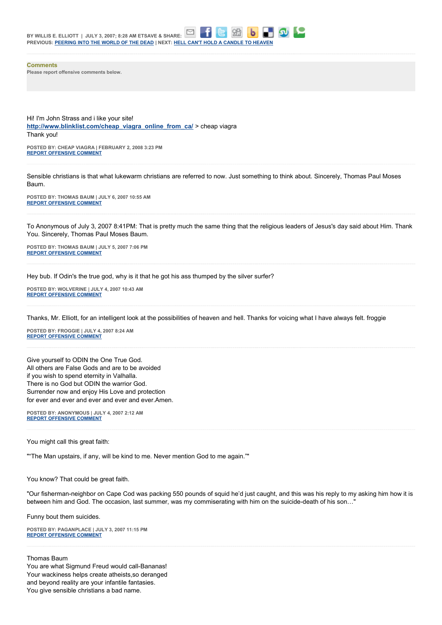**Comments Please report offensive comments below.**

Hi! I'm John Strass and i like your site! **[http://www.blinklist.com/cheap\\_viagra\\_online\\_from\\_ca/](http://www.blinklist.com/cheap_viagra_online_from_ca/)** > cheap viagra Thank you!

**POSTED BY: CHEAP VIAGRA | FEBRUARY 2, 2008 3:23 PM [REPORT OFFENSIVE COMMENT](mailto:blogs@washingtonpost.com?subject=On%20Faith%20Panelists%20Blog%20%20%7C%20%20cheap%20viagra%20%20%7C%20%20Is%20This%20the%20Right%20Question?%20%20%7C%20%202336778&body=%0D%0D%0D%0D%0D================%0D?__mode=view%26_type=comment%26id=2336778%26blog_id=618)**

Sensible christians is that what lukewarm christians are referred to now. Just something to think about. Sincerely, Thomas Paul Moses Baum.

**POSTED BY: THOMAS BAUM | JULY 6, 2007 10:55 AM [REPORT OFFENSIVE COMMENT](mailto:blogs@washingtonpost.com?subject=On%20Faith%20Panelists%20Blog%20%20%7C%20%20Thomas%20Baum%20%20%7C%20%20Is%20This%20the%20Right%20Question?%20%20%7C%20%201148567&body=%0D%0D%0D%0D%0D================%0D?__mode=view%26_type=comment%26id=1148567%26blog_id=618)**

To Anonymous of July 3, 2007 8:41PM: That is pretty much the same thing that the religious leaders of Jesus's day said about Him. Thank You. Sincerely, Thomas Paul Moses Baum.

**POSTED BY: THOMAS BAUM | JULY 5, 2007 7:06 PM [REPORT OFFENSIVE COMMENT](mailto:blogs@washingtonpost.com?subject=On%20Faith%20Panelists%20Blog%20%20%7C%20%20Thomas%20Baum%20%20%7C%20%20Is%20This%20the%20Right%20Question?%20%20%7C%20%201146840&body=%0D%0D%0D%0D%0D================%0D?__mode=view%26_type=comment%26id=1146840%26blog_id=618)**

Hey bub. If Odin's the true god, why is it that he got his ass thumped by the silver surfer?

**POSTED BY: WOLVERINE | JULY 4, 2007 10:43 AM [REPORT OFFENSIVE COMMENT](mailto:blogs@washingtonpost.com?subject=On%20Faith%20Panelists%20Blog%20%20%7C%20%20Wolverine%20%20%7C%20%20Is%20This%20the%20Right%20Question?%20%20%7C%20%201143036&body=%0D%0D%0D%0D%0D================%0D?__mode=view%26_type=comment%26id=1143036%26blog_id=618)**

Thanks, Mr. Elliott, for an intelligent look at the possibilities of heaven and hell. Thanks for voicing what I have always felt. froggie

**POSTED BY: FROGGIE | JULY 4, 2007 8:24 AM [REPORT OFFENSIVE COMMENT](mailto:blogs@washingtonpost.com?subject=On%20Faith%20Panelists%20Blog%20%20%7C%20%20froggie%20%20%7C%20%20Is%20This%20the%20Right%20Question?%20%20%7C%20%201142766&body=%0D%0D%0D%0D%0D================%0D?__mode=view%26_type=comment%26id=1142766%26blog_id=618)**

Give yourself to ODIN the One True God. All others are False Gods and are to be avoided if you wish to spend eternity in Valhalla. There is no God but ODIN the warrior God. Surrender now and enjoy His Love and protection for ever and ever and ever and ever and ever.Amen.

**POSTED BY: ANONYMOUS | JULY 4, 2007 2:12 AM [REPORT OFFENSIVE COMMENT](mailto:blogs@washingtonpost.com?subject=On%20Faith%20Panelists%20Blog%20%20%7C%20%20Anonymous%20%20%7C%20%20Is%20This%20the%20Right%20Question?%20%20%7C%20%201142251&body=%0D%0D%0D%0D%0D================%0D?__mode=view%26_type=comment%26id=1142251%26blog_id=618)**

You might call this great faith:

""The Man upstairs, if any, will be kind to me. Never mention God to me again.""

You know? That could be great faith.

"Our fisherman-neighbor on Cape Cod was packing 550 pounds of squid he'd just caught, and this was his reply to my asking him how it is between him and God. The occasion, last summer, was my commiserating with him on the suicide-death of his son…"

Funny bout them suicides.

**POSTED BY: PAGANPLACE | JULY 3, 2007 11:15 PM [REPORT OFFENSIVE COMMENT](mailto:blogs@washingtonpost.com?subject=On%20Faith%20Panelists%20Blog%20%20%7C%20%20Paganplace%20%20%7C%20%20Is%20This%20the%20Right%20Question?%20%20%7C%20%201141797&body=%0D%0D%0D%0D%0D================%0D?__mode=view%26_type=comment%26id=1141797%26blog_id=618)**

Thomas Baum You are what Sigmund Freud would call-Bananas! Your wackiness helps create atheists,so deranged and beyond reality are your infantile fantasies. You give sensible christians a bad name.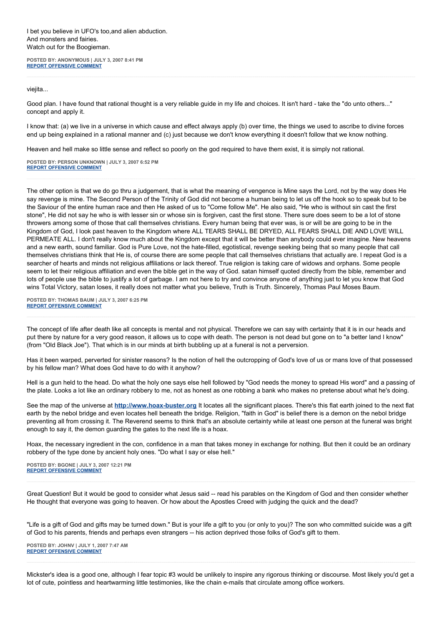I bet you believe in UFO's too,and alien abduction. And monsters and fairies. Watch out for the Boogieman.

**POSTED BY: ANONYMOUS | JULY 3, 2007 8:41 PM [REPORT OFFENSIVE COMMENT](mailto:blogs@washingtonpost.com?subject=On%20Faith%20Panelists%20Blog%20%20%7C%20%20Anonymous%20%20%7C%20%20Is%20This%20the%20Right%20Question?%20%20%7C%20%201141545&body=%0D%0D%0D%0D%0D================%0D?__mode=view%26_type=comment%26id=1141545%26blog_id=618)**

viejita...

Good plan. I have found that rational thought is a very reliable guide in my life and choices. It isn't hard - take the "do unto others..." concept and apply it.

I know that: (a) we live in a universe in which cause and effect always apply (b) over time, the things we used to ascribe to divine forces end up being explained in a rational manner and (c) just because we don't know everything it doesn't follow that we know nothing.

Heaven and hell make so little sense and reflect so poorly on the god required to have them exist, it is simply not rational.

**POSTED BY: PERSON UNKNOWN | JULY 3, 2007 6:52 PM [REPORT OFFENSIVE COMMENT](mailto:blogs@washingtonpost.com?subject=On%20Faith%20Panelists%20Blog%20%20%7C%20%20person%20unknown%20%20%7C%20%20Is%20This%20the%20Right%20Question?%20%20%7C%20%201141438&body=%0D%0D%0D%0D%0D================%0D?__mode=view%26_type=comment%26id=1141438%26blog_id=618)**

The other option is that we do go thru a judgement, that is what the meaning of vengence is Mine says the Lord, not by the way does He say revenge is mine. The Second Person of the Trinity of God did not become a human being to let us off the hook so to speak but to be the Saviour of the entire human race and then He asked of us to "Come follow Me". He also said, "He who is without sin cast the first stone", He did not say he who is with lesser sin or whose sin is forgiven, cast the first stone. There sure does seem to be a lot of stone throwers among some of those that call themselves christians. Every human being that ever was, is or will be are going to be in the Kingdom of God, I look past heaven to the Kingdom where ALL TEARS SHALL BE DRYED, ALL FEARS SHALL DIE AND LOVE WILL PERMEATE ALL. I don't really know much about the Kingdom except that it will be better than anybody could ever imagine. New heavens and a new earth, sound familiar. God is Pure Love, not the hate-filled, egotistical, revenge seeking being that so many people that call themselves christians think that He is, of course there are some people that call themselves christians that actually are. I repeat God is a searcher of hearts and minds not religious affiliations or lack thereof. True religion is taking care of widows and orphans. Some people seem to let their religious affiliation and even the bible get in the way of God. satan himself quoted directly from the bible, remember and lots of people use the bible to justify a lot of garbage. I am not here to try and convince anyone of anything just to let you know that God wins Total Victory, satan loses, it really does not matter what you believe, Truth is Truth. Sincerely, Thomas Paul Moses Baum.

**POSTED BY: THOMAS BAUM | JULY 3, 2007 6:25 PM [REPORT OFFENSIVE COMMENT](mailto:blogs@washingtonpost.com?subject=On%20Faith%20Panelists%20Blog%20%20%7C%20%20Thomas%20Baum%20%20%7C%20%20Is%20This%20the%20Right%20Question?%20%20%7C%20%201141395&body=%0D%0D%0D%0D%0D================%0D?__mode=view%26_type=comment%26id=1141395%26blog_id=618)**

The concept of life after death like all concepts is mental and not physical. Therefore we can say with certainty that it is in our heads and put there by nature for a very good reason, it allows us to cope with death. The person is not dead but gone on to "a better land I know" (from "Old Black Joe"). That which is in our minds at birth bubbling up at a funeral is not a perversion.

Has it been warped, perverted for sinister reasons? Is the notion of hell the outcropping of God's love of us or mans love of that possessed by his fellow man? What does God have to do with it anyhow?

Hell is a gun held to the head. Do what the holy one says else hell followed by "God needs the money to spread His word" and a passing of the plate. Looks a lot like an ordinary robbery to me, not as honest as one robbing a bank who makes no pretense about what he's doing.

See the map of the universe at **[http://www.hoax-buster.org](http://www.hoax-buster.org/)** It locates all the significant places. There's this flat earth joined to the next flat earth by the nebol bridge and even locates hell beneath the bridge. Religion, "faith in God" is belief there is a demon on the nebol bridge preventing all from crossing it. The Reverend seems to think that's an absolute certainty while at least one person at the funeral was bright enough to say it, the demon guarding the gates to the next life is a hoax.

Hoax, the necessary ingredient in the con, confidence in a man that takes money in exchange for nothing. But then it could be an ordinary robbery of the type done by ancient holy ones. "Do what I say or else hell."

**POSTED BY: BGONE | JULY 3, 2007 12:21 PM [REPORT OFFENSIVE COMMENT](mailto:blogs@washingtonpost.com?subject=On%20Faith%20Panelists%20Blog%20%20%7C%20%20BGone%20%20%7C%20%20Is%20This%20the%20Right%20Question?%20%20%7C%20%201140810&body=%0D%0D%0D%0D%0D================%0D?__mode=view%26_type=comment%26id=1140810%26blog_id=618)**

Great Question! But it would be good to consider what Jesus said -- read his parables on the Kingdom of God and then consider whether He thought that everyone was going to heaven. Or how about the Apostles Creed with judging the quick and the dead?

"Life is a gift of God and gifts may be turned down." But is your life a gift to you (or only to you)? The son who committed suicide was a gift of God to his parents, friends and perhaps even strangers -- his action deprived those folks of God's gift to them.

**POSTED BY: JOHNV | JULY 1, 2007 7:47 AM [REPORT OFFENSIVE COMMENT](mailto:blogs@washingtonpost.com?subject=On%20Faith%20Panelists%20Blog%20%20%7C%20%20JohnV%20%20%7C%20%20Is%20This%20the%20Right%20Question?%20%20%7C%20%201135206&body=%0D%0D%0D%0D%0D================%0D?__mode=view%26_type=comment%26id=1135206%26blog_id=618)**

Mickster's idea is a good one, although I fear topic #3 would be unlikely to inspire any rigorous thinking or discourse. Most likely you'd get a lot of cute, pointless and heartwarming little testimonies, like the chain e-mails that circulate among office workers.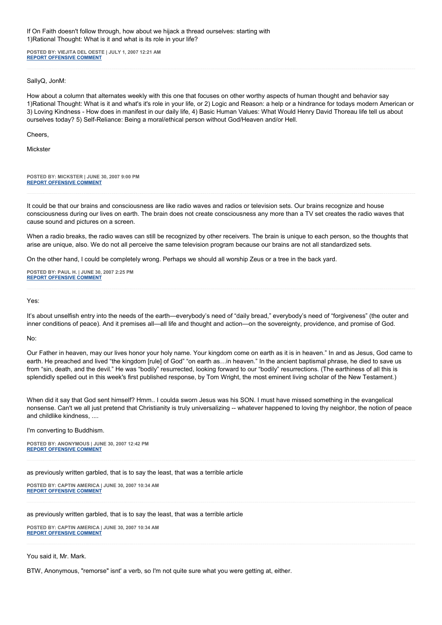If On Faith doesn't follow through, how about we hijack a thread ourselves: starting with 1)Rational Thought: What is it and what is its role in your life?

**POSTED BY: VIEJITA DEL OESTE | JULY 1, 2007 12:21 AM [REPORT OFFENSIVE COMMENT](mailto:blogs@washingtonpost.com?subject=On%20Faith%20Panelists%20Blog%20%20%7C%20%20Viejita%20del%20oeste%20%20%7C%20%20Is%20This%20the%20Right%20Question?%20%20%7C%20%201134683&body=%0D%0D%0D%0D%0D================%0D?__mode=view%26_type=comment%26id=1134683%26blog_id=618)**

SallyQ, JonM:

How about a column that alternates weekly with this one that focuses on other worthy aspects of human thought and behavior say 1)Rational Thought: What is it and what's it's role in your life, or 2) Logic and Reason: a help or a hindrance for todays modern American or 3) Loving Kindness - How does in manifest in our daily life, 4) Basic Human Values: What Would Henry David Thoreau life tell us about ourselves today? 5) Self-Reliance: Being a moral/ethical person without God/Heaven and/or Hell.

Cheers,

**Mickster** 

**POSTED BY: MICKSTER | JUNE 30, 2007 9:00 PM [REPORT OFFENSIVE COMMENT](mailto:blogs@washingtonpost.com?subject=On%20Faith%20Panelists%20Blog%20%20%7C%20%20mickster%20%20%7C%20%20Is%20This%20the%20Right%20Question?%20%20%7C%20%201134432&body=%0D%0D%0D%0D%0D================%0D?__mode=view%26_type=comment%26id=1134432%26blog_id=618)**

It could be that our brains and consciousness are like radio waves and radios or television sets. Our brains recognize and house consciousness during our lives on earth. The brain does not create consciousness any more than a TV set creates the radio waves that cause sound and pictures on a screen.

When a radio breaks, the radio waves can still be recognized by other receivers. The brain is unique to each person, so the thoughts that arise are unique, also. We do not all perceive the same television program because our brains are not all standardized sets.

On the other hand, I could be completely wrong. Perhaps we should all worship Zeus or a tree in the back yard.

**POSTED BY: PAUL H. | JUNE 30, 2007 2:25 PM [REPORT OFFENSIVE COMMENT](mailto:blogs@washingtonpost.com?subject=On%20Faith%20Panelists%20Blog%20%20%7C%20%20Paul%20H.%20%20%7C%20%20Is%20This%20the%20Right%20Question?%20%20%7C%20%201133677&body=%0D%0D%0D%0D%0D================%0D?__mode=view%26_type=comment%26id=1133677%26blog_id=618)**

Yes:

It's about unselfish entry into the needs of the earth—everybody's need of "daily bread," everybody's need of "forgiveness" (the outer and inner conditions of peace). And it premises all—all life and thought and action—on the sovereignty, providence, and promise of God.

No:

Our Father in heaven, may our lives honor your holy name. Your kingdom come on earth as it is in heaven." In and as Jesus, God came to earth. He preached and lived "the kingdom [rule] of God" "on earth as...in heaven." In the ancient baptismal phrase, he died to save us from "sin, death, and the devil." He was "bodily" resurrected, looking forward to our "bodily" resurrections. (The earthiness of all this is splendidly spelled out in this week's first published response, by Tom Wright, the most eminent living scholar of the New Testament.)

When did it say that God sent himself? Hmm.. I coulda sworn Jesus was his SON. I must have missed something in the evangelical nonsense. Can't we all just pretend that Christianity is truly universalizing -- whatever happened to loving thy neighbor, the notion of peace and childlike kindness, ....

I'm converting to Buddhism.

**POSTED BY: ANONYMOUS | JUNE 30, 2007 12:42 PM [REPORT OFFENSIVE COMMENT](mailto:blogs@washingtonpost.com?subject=On%20Faith%20Panelists%20Blog%20%20%7C%20%20Anonymous%20%20%7C%20%20Is%20This%20the%20Right%20Question?%20%20%7C%20%201133535&body=%0D%0D%0D%0D%0D================%0D?__mode=view%26_type=comment%26id=1133535%26blog_id=618)**

as previously written garbled, that is to say the least, that was a terrible article

**POSTED BY: CAPTIN AMERICA | JUNE 30, 2007 10:34 AM [REPORT OFFENSIVE COMMENT](mailto:blogs@washingtonpost.com?subject=On%20Faith%20Panelists%20Blog%20%20%7C%20%20captin%20america%20%20%7C%20%20Is%20This%20the%20Right%20Question?%20%20%7C%20%201133375&body=%0D%0D%0D%0D%0D================%0D?__mode=view%26_type=comment%26id=1133375%26blog_id=618)**

as previously written garbled, that is to say the least, that was a terrible article

**POSTED BY: CAPTIN AMERICA | JUNE 30, 2007 10:34 AM [REPORT OFFENSIVE COMMENT](mailto:blogs@washingtonpost.com?subject=On%20Faith%20Panelists%20Blog%20%20%7C%20%20captin%20america%20%20%7C%20%20Is%20This%20the%20Right%20Question?%20%20%7C%20%201133374&body=%0D%0D%0D%0D%0D================%0D?__mode=view%26_type=comment%26id=1133374%26blog_id=618)**

You said it, Mr. Mark.

BTW, Anonymous, "remorse" isnt' a verb, so I'm not quite sure what you were getting at, either.